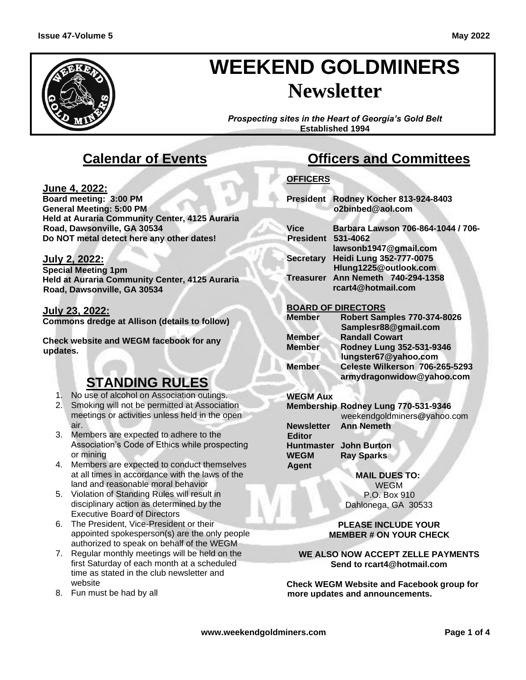

# **WEEKEND GOLDMINERS Newsletter**

*Prospecting sites in the Heart of Georgia's Gold Belt* **Established 1994**

# **Calendar of Events**

### **June 4, 2022:**

**Board meeting: 3:00 PM General Meeting: 5:00 PM Held at Auraria Community Center, 4125 Auraria Road, Dawsonville, GA 30534 Do NOT metal detect here any other dates!**

# **July 2, 2022:**

**Special Meeting 1pm Held at Auraria Community Center, 4125 Auraria Road, Dawsonville, GA 30534**

### **July 23, 2022:**

**Commons dredge at Allison (details to follow)**

**Check website and WEGM facebook for any updates.**

# **STANDING RULES**

- 1. No use of alcohol on Association outings.
- 2. Smoking will not be permitted at Association meetings or activities unless held in the open air.
- 3. Members are expected to adhere to the Association's Code of Ethics while prospecting or mining
- 4. Members are expected to conduct themselves at all times in accordance with the laws of the land and reasonable moral behavior
- 5. Violation of Standing Rules will result in disciplinary action as determined by the Executive Board of Directors
- 6. The President, Vice-President or their appointed spokesperson(s) are the only people authorized to speak on behalf of the WEGM
- 7. Regular monthly meetings will be held on the first Saturday of each month at a scheduled time as stated in the club newsletter and website
- 8. Fun must be had by all

# **Officers and Committees**

# **OFFICERS**

**President Rodney Kocher 813-924-8403 o2binbed@aol.com**

| Vice                      | Barbara Lawson 706-864-1044 / 706- |
|---------------------------|------------------------------------|
| <b>President 531-4062</b> |                                    |
|                           | lawsonb1947@gmail.com              |
|                           | Secretary Heidi Lung 352-777-0075  |
|                           | Hlung1225@outlook.com              |
|                           | Treasurer Ann Nemeth 740-294-1358  |
|                           | rcart4@hotmail.com                 |
|                           |                                    |

#### **BOARD OF DIRECTORS**

| <b>Member</b> | <b>Robert Samples 770-374-8026</b>                          |
|---------------|-------------------------------------------------------------|
|               | Samplesr88@gmail.com                                        |
| <b>Member</b> | <b>Randall Cowart</b>                                       |
| <b>Member</b> | Rodney Lung 352-531-9346                                    |
|               | lungster67@yahoo.com                                        |
| <b>Member</b> | Celeste Wilkerson 706-265-5293<br>armydragonwidow@yahoo.com |
|               |                                                             |

# **WEGM Aux**

**Membership Rodney Lung 770-531-9346**  weekendgoldminers@yahoo.com **Newsletter Editor Ann Nemeth Huntmaster John Burton WEGM Agent Ray Sparks**

> **MAIL DUES TO:** WEGM P.O. Box 910 Dahlonega, GA 30533

**PLEASE INCLUDE YOUR MEMBER # ON YOUR CHECK**

#### **WE ALSO NOW ACCEPT ZELLE PAYMENTS Send to rcart4@hotmail.com**

**Check WEGM Website and Facebook group for more updates and announcements.**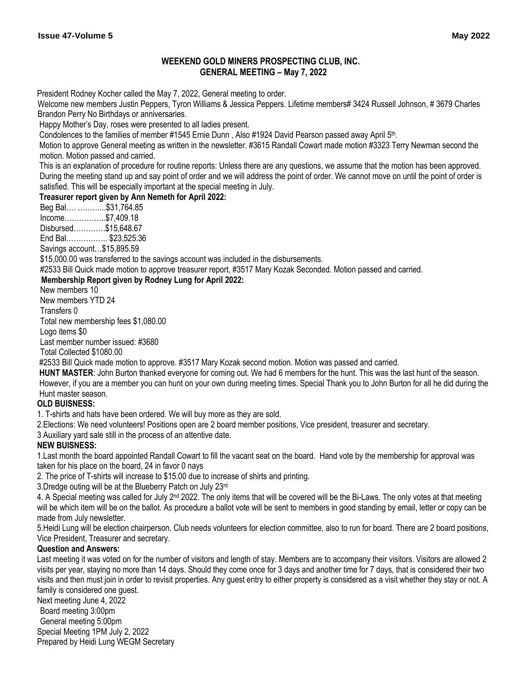#### **WEEKEND GOLD MINERS PROSPECTING CLUB, INC. GENERAL MEETING – May 7, 2022**

President Rodney Kocher called the May 7, 2022, General meeting to order.

Welcome new members Justin Peppers, Tyron Williams & Jessica Peppers. Lifetime members# 3424 Russell Johnson, # 3679 Charles Brandon Perry No Birthdays or anniversaries.

Happy Mother's Day, roses were presented to all ladies present.

Condolences to the families of member #1545 Ernie Dunn, Also #1924 David Pearson passed away April 5<sup>th</sup>.

Motion to approve General meeting as written in the newsletter. #3615 Randall Cowart made motion #3323 Terry Newman second the motion. Motion passed and carried.

This is an explanation of procedure for routine reports: Unless there are any questions, we assume that the motion has been approved. During the meeting stand up and say point of order and we will address the point of order. We cannot move on until the point of order is satisfied. This will be especially important at the special meeting in July.

#### **Treasurer report given by Ann Nemeth for April 2022:**

Beg Bal…. ………...\$31,764.85 Income……………..\$7,409.18 Disbursed………….\$15,648.67

End Bal…………….. \$23,525.36

Savings account…\$15,895.59

\$15,000.00 was transferred to the savings account was included in the disbursements.

#2533 Bill Quick made motion to approve treasurer report, #3517 Mary Kozak Seconded. Motion passed and carried.

#### **Membership Report given by Rodney Lung for April 2022:**

New members 10

New members YTD 24

Transfers 0

Total new membership fees \$1,080.00

Logo items \$0

Last member number issued: #3680

Total Collected \$1080.00

#2533 Bill Quick made motion to approve. #3517 Mary Kozak second motion. Motion was passed and carried.

**HUNT MASTER**: John Burton thanked everyone for coming out. We had 6 members for the hunt. This was the last hunt of the season. However, if you are a member you can hunt on your own during meeting times. Special Thank you to John Burton for all he did during the Hunt master season.

#### **OLD BUISNESS:**

1. T-shirts and hats have been ordered. We will buy more as they are sold.

2.Elections: We need volunteers! Positions open are 2 board member positions, Vice president, treasurer and secretary.

3 Auxiliary yard sale still in the process of an attentive date.

#### **NEW BUISNESS:**

1.Last month the board appointed Randall Cowart to fill the vacant seat on the board. Hand vote by the membership for approval was taken for his place on the board, 24 in favor 0 nays

2. The price of T-shirts will increase to \$15.00 due to increase of shirts and printing.

3.Dredge outing will be at the Blueberry Patch on July 23rd

4. A Special meeting was called for July 2<sup>nd</sup> 2022. The only items that will be covered will be the Bi-Laws. The only votes at that meeting will be which item will be on the ballot. As procedure a ballot vote will be sent to members in good standing by email, letter or copy can be made from July newsletter.

5.Heidi Lung will be election chairperson. Club needs volunteers for election committee, also to run for board. There are 2 board positions, Vice President, Treasurer and secretary.

#### **Question and Answers:**

Last meeting it was voted on for the number of visitors and length of stay. Members are to accompany their visitors. Visitors are allowed 2 visits per year, staying no more than 14 days. Should they come once for 3 days and another time for 7 days, that is considered their two visits and then must join in order to revisit properties. Any guest entry to either property is considered as a visit whether they stay or not. A family is considered one guest.

Next meeting June 4, 2022 Board meeting 3:00pm General meeting 5:00pm Special Meeting 1PM July 2, 2022 Prepared by Heidi Lung WEGM Secretary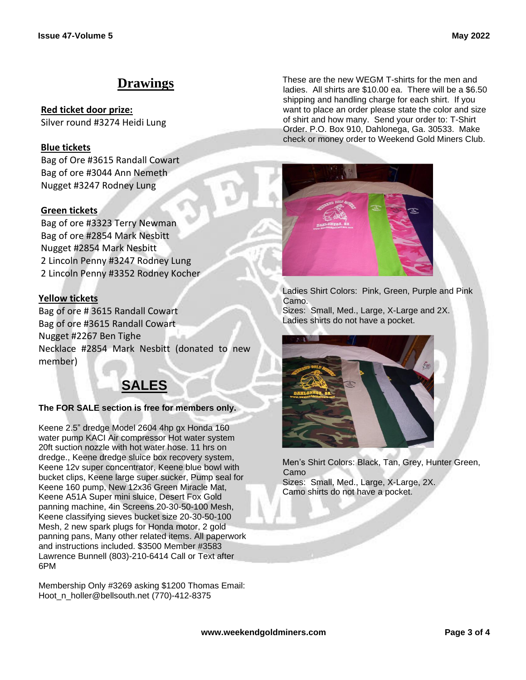# **Drawings**

# **Red ticket door prize:**

Silver round #3274 Heidi Lung

### **Blue tickets**

Bag of Ore #3615 Randall Cowart Bag of ore #3044 Ann Nemeth Nugget #3247 Rodney Lung

# **Green tickets**

Bag of ore #3323 Terry Newman Bag of ore #2854 Mark Nesbitt Nugget #2854 Mark Nesbitt 2 Lincoln Penny #3247 Rodney Lung 2 Lincoln Penny #3352 Rodney Kocher

# **Yellow tickets**

Bag of ore # 3615 Randall Cowart Bag of ore #3615 Randall Cowart Nugget #2267 Ben Tighe Necklace #2854 Mark Nesbitt (donated to new member)

# **SALES**

### **The FOR SALE section is free for members only.**

Keene 2.5" dredge Model 2604 4hp gx Honda 160 water pump KACI Air compressor Hot water system 20ft suction nozzle with hot water hose. 11 hrs on dredge., Keene dredge sluice box recovery system, Keene 12v super concentrator, Keene blue bowl with bucket clips, Keene large super sucker, Pump seal for Keene 160 pump, New 12x36 Green Miracle Mat, Keene A51A Super mini sluice, Desert Fox Gold panning machine, 4in Screens 20-30-50-100 Mesh, Keene classifying sieves bucket size 20-30-50-100 Mesh, 2 new spark plugs for Honda motor, 2 gold panning pans, Many other related items. All paperwork and instructions included. \$3500 Member #3583 Lawrence Bunnell (803)-210-6414 Call or Text after 6PM

Membership Only #3269 asking \$1200 Thomas Email: Hoot\_n\_holler@bellsouth.net (770)-412-8375

These are the new WEGM T-shirts for the men and ladies. All shirts are \$10.00 ea. There will be a \$6.50 shipping and handling charge for each shirt. If you want to place an order please state the color and size of shirt and how many. Send your order to: T-Shirt Order. P.O. Box 910, Dahlonega, Ga. 30533. Make check or money order to Weekend Gold Miners Club.



Ladies Shirt Colors: Pink, Green, Purple and Pink Camo. Sizes: Small, Med., Large, X-Large and 2X. Ladies shirts do not have a pocket.



Men's Shirt Colors: Black, Tan, Grey, Hunter Green, Camo Sizes: Small, Med., Large, X-Large, 2X. Camo shirts do not have a pocket.